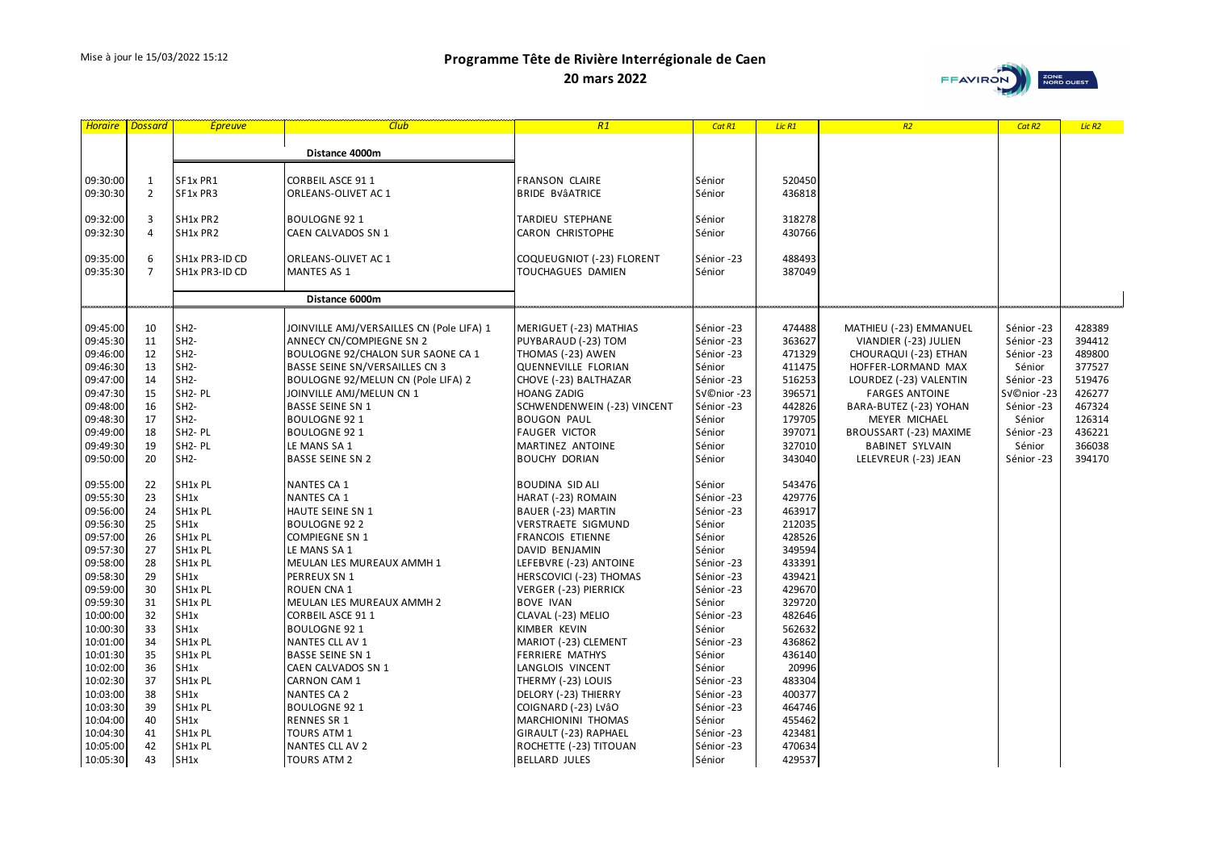**20 mars 2022**



| Horaire              | <b>Dossard</b>      | <b>Epreuve</b>       | <b>Club</b>                                    | R1                                 | Cat R1               | Lic R1           | R2                     | Cat R <sub>2</sub> | Lic <sub>R2</sub> |
|----------------------|---------------------|----------------------|------------------------------------------------|------------------------------------|----------------------|------------------|------------------------|--------------------|-------------------|
|                      |                     |                      |                                                |                                    |                      |                  |                        |                    |                   |
|                      |                     |                      | Distance 4000m                                 |                                    |                      |                  |                        |                    |                   |
|                      |                     |                      |                                                |                                    |                      |                  |                        |                    |                   |
| 09:30:00             | $\mathbf{1}$        | SF1x PR1             | <b>CORBEIL ASCE 911</b>                        | <b>FRANSON CLAIRE</b>              | Sénior               | 520450           |                        |                    |                   |
| 09:30:30             | $\overline{2}$      | SF1x PR3             | ORLEANS-OLIVET AC 1                            | <b>BRIDE BVÂATRICE</b>             | Sénior               | 436818           |                        |                    |                   |
|                      |                     |                      |                                                |                                    |                      |                  |                        |                    |                   |
| 09:32:00             | 3                   | SH1x PR2             | <b>BOULOGNE 921</b>                            | TARDIEU STEPHANE                   | Sénior               | 318278           |                        |                    |                   |
| 09:32:30             | 4                   | SH1x PR2             | CAEN CALVADOS SN 1                             | CARON CHRISTOPHE                   | Sénior               | 430766           |                        |                    |                   |
|                      |                     |                      |                                                |                                    |                      |                  |                        |                    |                   |
| 09:35:00             | 6<br>$\overline{7}$ | SH1x PR3-ID CD       | ORLEANS-OLIVET AC 1                            | COQUEUGNIOT (-23) FLORENT          | Sénior -23           | 488493           |                        |                    |                   |
| 09:35:30             |                     | SH1x PR3-ID CD       | <b>MANTES AS 1</b>                             | TOUCHAGUES DAMIEN                  | Sénior               | 387049           |                        |                    |                   |
|                      |                     |                      | Distance 6000m                                 |                                    |                      |                  |                        |                    |                   |
|                      |                     |                      |                                                |                                    |                      |                  |                        |                    |                   |
| 09:45:00             | 10                  | $SH2-$               | JOINVILLE AMJ/VERSAILLES CN (Pole LIFA) 1      | MERIGUET (-23) MATHIAS             | Sénior -23           | 474488           | MATHIEU (-23) EMMANUEL | Sénior -23         | 428389            |
| 09:45:30             | 11                  | SH <sub>2</sub> -    | ANNECY CN/COMPIEGNE SN 2                       | PUYBARAUD (-23) TOM                | Sénior -23           | 363627           | VIANDIER (-23) JULIEN  | Sénior -23         | 394412            |
| 09:46:00             | 12                  | $SH2-$               | BOULOGNE 92/CHALON SUR SAONE CA 1              | THOMAS (-23) AWEN                  | Sénior -23           | 471329           | CHOURAQUI (-23) ETHAN  | Sénior -23         | 489800            |
| 09:46:30             | 13                  | $SH2-$               | BASSE SEINE SN/VERSAILLES CN 3                 | <b>QUENNEVILLE FLORIAN</b>         | Sénior               | 411475           | HOFFER-LORMAND MAX     | Sénior             | 377527            |
| 09:47:00             | 14                  | $SH2-$               | BOULOGNE 92/MELUN CN (Pole LIFA) 2             | CHOVE (-23) BALTHAZAR              | Sénior -23           | 516253           | LOURDEZ (-23) VALENTIN | Sénior -23         | 519476            |
| 09:47:30             | 15                  | SH <sub>2</sub> - PL | JOINVILLE AMJ/MELUN CN 1                       | <b>HOANG ZADIG</b>                 | SV©nior-23           | 396571           | <b>FARGES ANTOINE</b>  | Sénior -23         | 426277            |
| 09:48:00             | 16                  | SH <sub>2</sub> -    | <b>BASSE SEINE SN 1</b>                        | SCHWENDENWEIN (-23) VINCENT        | Sénior -23           | 442826           | BARA-BUTEZ (-23) YOHAN | Sénior -23         | 467324            |
| 09:48:30             | 17                  | $SH2-$               | <b>BOULOGNE 921</b>                            | <b>BOUGON PAUL</b>                 | Sénior               | 179705           | MEYER MICHAEL          | Sénior             | 126314            |
| 09:49:00             | 18                  | SH <sub>2</sub> - PL | <b>BOULOGNE 92 1</b>                           | <b>FAUGER VICTOR</b>               | Sénior               | 397071           | BROUSSART (-23) MAXIME | Sénior -23         | 436221            |
| 09:49:30             | 19                  | SH <sub>2</sub> - PL | LE MANS SA 1                                   | MARTINEZ ANTOINE                   | Sénior               | 327010           | <b>BABINET SYLVAIN</b> | Sénior             | 366038            |
| 09:50:00             | 20                  | $SH2-$               | <b>BASSE SEINE SN 2</b>                        | <b>BOUCHY DORIAN</b>               | Sénior               | 343040           | LELEVREUR (-23) JEAN   | Sénior -23         | 394170            |
|                      |                     |                      |                                                |                                    |                      |                  |                        |                    |                   |
| 09:55:00             | 22                  | SH1x PL              | NANTES CA 1                                    | <b>BOUDINA SID ALI</b>             | Sénior               | 543476           |                        |                    |                   |
| 09:55:30             | 23                  | SH1x                 | NANTES CA 1                                    | HARAT (-23) ROMAIN                 | Sénior -23           | 429776           |                        |                    |                   |
| 09:56:00             | 24                  | SH1x PL              | HAUTE SEINE SN 1                               | BAUER (-23) MARTIN                 | Sénior -23           | 463917           |                        |                    |                   |
| 09:56:30             | 25                  | SH1x                 | <b>BOULOGNE 922</b>                            | <b>VERSTRAETE SIGMUND</b>          | Sénior               | 212035           |                        |                    |                   |
| 09:57:00             | 26                  | SH1x PL              | <b>COMPIEGNE SN 1</b>                          | FRANCOIS ETIENNE                   | Sénior               | 428526           |                        |                    |                   |
| 09:57:30             | 27                  | SH1x PL              | LE MANS SA 1                                   | DAVID BENJAMIN                     | Sénior               | 349594           |                        |                    |                   |
| 09:58:00             | 28                  | SH1x PL              | MEULAN LES MUREAUX AMMH 1                      | LEFEBVRE (-23) ANTOINE             | Sénior -23           | 433391           |                        |                    |                   |
| 09:58:30             | 29                  | SH <sub>1</sub> x    | PERREUX SN 1                                   | <b>HERSCOVICI (-23) THOMAS</b>     | Sénior -23           | 439421           |                        |                    |                   |
| 09:59:00             | 30                  | SH1x PL<br>SH1x PL   | ROUEN CNA 1                                    | <b>VERGER (-23) PIERRICK</b>       | Sénior -23           | 429670<br>329720 |                        |                    |                   |
| 09:59:30             | 31<br>32            | SH1x                 | MEULAN LES MUREAUX AMMH 2                      | <b>BOVE IVAN</b>                   | Sénior<br>Sénior -23 | 482646           |                        |                    |                   |
| 10:00:00<br>10:00:30 | 33                  | SH1x                 | <b>CORBEIL ASCE 911</b><br><b>BOULOGNE 921</b> | CLAVAL (-23) MELIO<br>KIMBER KEVIN | Sénior               | 562632           |                        |                    |                   |
| 10:01:00             | 34                  | SH1x PL              | NANTES CLL AV 1                                | MARIOT (-23) CLEMENT               | Sénior -23           | 436862           |                        |                    |                   |
| 10:01:30             | 35                  | SH1x PL              | <b>BASSE SEINE SN 1</b>                        | FERRIERE MATHYS                    | Sénior               | 436140           |                        |                    |                   |
| 10:02:00             | 36                  | SH1x                 | CAEN CALVADOS SN 1                             | LANGLOIS VINCENT                   | Sénior               | 20996            |                        |                    |                   |
| 10:02:30             | 37                  | SH1x PL              | <b>CARNON CAM 1</b>                            | THERMY (-23) LOUIS                 | Sénior -23           | 483304           |                        |                    |                   |
| 10:03:00             | 38                  | SH1x                 | <b>NANTES CA 2</b>                             | DELORY (-23) THIERRY               | Sénior -23           | 400377           |                        |                    |                   |
| 10:03:30             | 39                  | SH1x PL              | <b>BOULOGNE 921</b>                            | COIGNARD (-23) LVâO                | Sénior -23           | 464746           |                        |                    |                   |
| 10:04:00             | 40                  | SH1x                 | <b>RENNES SR 1</b>                             | MARCHIONINI THOMAS                 | Sénior               | 455462           |                        |                    |                   |
| 10:04:30             | 41                  | SH1x PL              | <b>TOURS ATM 1</b>                             | GIRAULT (-23) RAPHAEL              | Sénior -23           | 423481           |                        |                    |                   |
| 10:05:00             | 42                  | SH1x PL              | NANTES CLL AV 2                                | ROCHETTE (-23) TITOUAN             | Sénior -23           | 470634           |                        |                    |                   |
| 10:05:30             | 43                  | SH1x                 | <b>TOURS ATM 2</b>                             | <b>BELLARD JULES</b>               | Sénior               | 429537           |                        |                    |                   |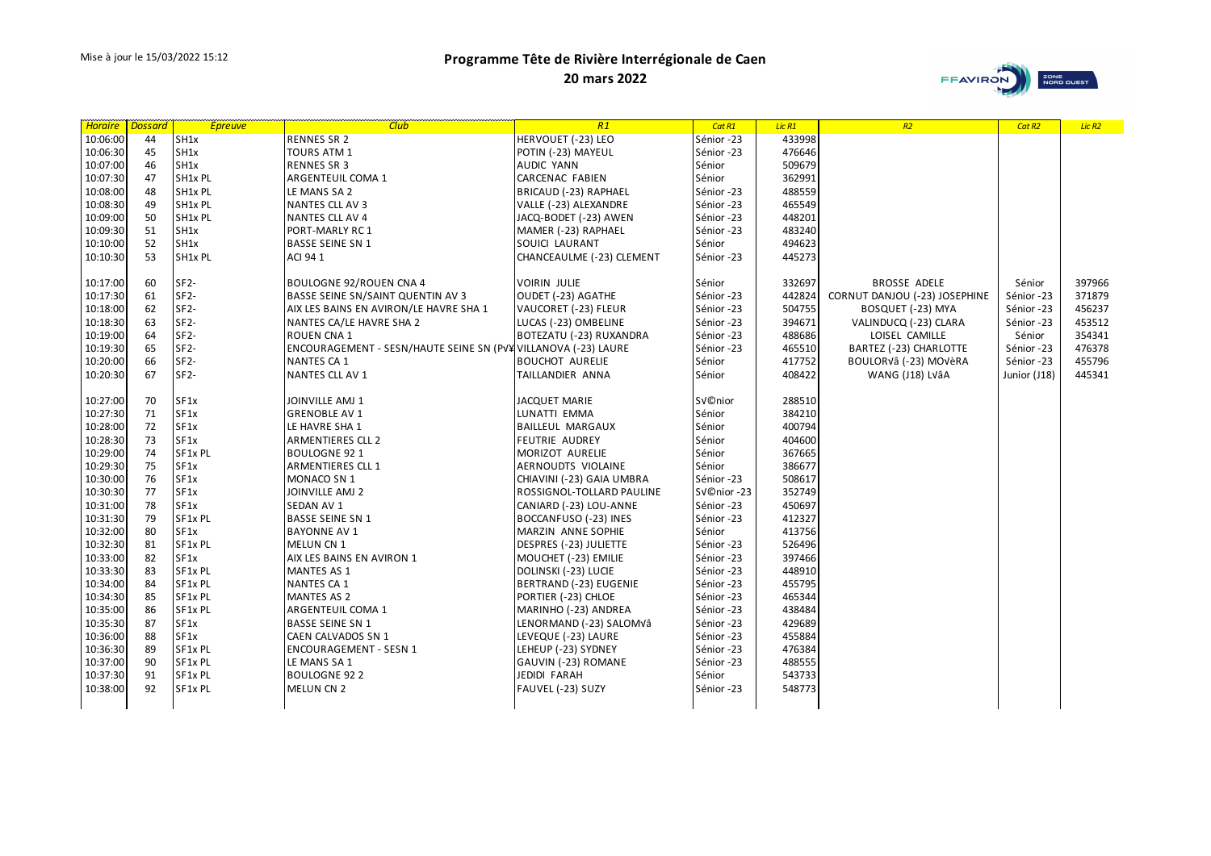**20 mars 2022**



| <b>Horaire</b> | <b>Dossard</b> |                   | <u> Epreuve – Epreuve – Club</u>                               | R1                        | Cat R1     | Lic R1 | R2                            | Cat R <sub>2</sub> | Lic <sub>R2</sub> |
|----------------|----------------|-------------------|----------------------------------------------------------------|---------------------------|------------|--------|-------------------------------|--------------------|-------------------|
| 10:06:00       | 44             | SH1x              | RENNES SR 2                                                    | HERVOUET (-23) LEO        | Sénior -23 | 433998 |                               |                    |                   |
| 10:06:30       | 45             | SH1x              | TOURS ATM 1                                                    | POTIN (-23) MAYEUL        | Sénior -23 | 476646 |                               |                    |                   |
| 10:07:00       | 46             | SH1x              | <b>RENNES SR 3</b>                                             | <b>AUDIC YANN</b>         | Sénior     | 509679 |                               |                    |                   |
| 10:07:30       | 47             | SH1x PL           | ARGENTEUIL COMA 1                                              | <b>CARCENAC FABIEN</b>    | Sénior     | 362991 |                               |                    |                   |
| 10:08:00       | 48             | SH1x PL           | LE MANS SA 2                                                   | BRICAUD (-23) RAPHAEL     | Sénior -23 | 488559 |                               |                    |                   |
| 10:08:30       | 49             | SH1x PL           | NANTES CLL AV 3                                                | VALLE (-23) ALEXANDRE     | Sénior -23 | 465549 |                               |                    |                   |
| 10:09:00       | 50             | SH1x PL           | NANTES CLL AV 4                                                | JACQ-BODET (-23) AWEN     | Sénior -23 | 448201 |                               |                    |                   |
| 10:09:30       | 51             | SH1x              | PORT-MARLY RC1                                                 | MAMER (-23) RAPHAEL       | Sénior -23 | 483240 |                               |                    |                   |
| 10:10:00       | 52             | SH <sub>1x</sub>  | <b>BASSE SEINE SN 1</b>                                        | SOUICI LAURANT            | Sénior     | 494623 |                               |                    |                   |
| 10:10:30       | 53             | SH1x PL           | ACI 94 1                                                       | CHANCEAULME (-23) CLEMENT | Sénior -23 | 445273 |                               |                    |                   |
|                |                |                   |                                                                |                           |            |        |                               |                    |                   |
| 10:17:00       | 60             | $SF2-$            | <b>BOULOGNE 92/ROUEN CNA 4</b>                                 | <b>VOIRIN JULIE</b>       | Sénior     | 332697 | <b>BROSSE ADELE</b>           | Sénior             | 397966            |
| 10:17:30       | 61             | $SF2-$            | <b>BASSE SEINE SN/SAINT QUENTIN AV 3</b>                       | OUDET (-23) AGATHE        | Sénior -23 | 442824 | CORNUT DANJOU (-23) JOSEPHINE | Sénior -23         | 371879            |
| 10:18:00       | 62             | $SF2-$            | AIX LES BAINS EN AVIRON/LE HAVRE SHA 1                         | VAUCORET (-23) FLEUR      | Sénior -23 | 504755 | BOSQUET (-23) MYA             | Sénior -23         | 456237            |
| 10:18:30       | 63             | SF <sub>2</sub> - | NANTES CA/LE HAVRE SHA 2                                       | LUCAS (-23) OMBELINE      | Sénior -23 | 394671 | VALINDUCQ (-23) CLARA         | Sénior -23         | 453512            |
| 10:19:00       | 64             | $SF2-$            | ROUEN CNA 1                                                    | BOTEZATU (-23) RUXANDRA   | Sénior -23 | 488686 | LOISEL CAMILLE                | Sénior             | 354341            |
| 10:19:30       | 65             | $SF2-$            | ENCOURAGEMENT - SESN/HAUTE SEINE SN (PV¥ VILLANOVA (-23) LAURE |                           | Sénior -23 | 465510 | BARTEZ (-23) CHARLOTTE        | Sénior -23         | 476378            |
| 10:20:00       | 66             | $SF2-$            | <b>NANTES CA 1</b>                                             | <b>BOUCHOT AURELIE</b>    | Sénior     | 417752 | BOULORVÂ (-23) MOVÈRA         | Sénior -23         | 455796            |
| 10:20:30       | 67             | $SF2-$            | NANTES CLL AV 1                                                | TAILLANDIER ANNA          | Sénior     | 408422 | WANG (J18) LVÂA               | Junior (J18)       | 445341            |
|                |                |                   |                                                                |                           |            |        |                               |                    |                   |
| 10:27:00       | 70             | SF1x              | <b>JOINVILLE AMJ 1</b>                                         | JACQUET MARIE             | Sénior     | 288510 |                               |                    |                   |
| 10:27:30       | 71             | SF1x              | <b>GRENOBLE AV 1</b>                                           | LUNATTI EMMA              | Sénior     | 384210 |                               |                    |                   |
| 10:28:00       | 72             | SF1x              | LE HAVRE SHA 1                                                 | <b>BAILLEUL MARGAUX</b>   | Sénior     | 400794 |                               |                    |                   |
| 10:28:30       | 73             | SF1x              | ARMENTIERES CLL 2                                              | <b>FEUTRIE AUDREY</b>     | Sénior     | 404600 |                               |                    |                   |
| 10:29:00       | 74             | SF1x PL           | <b>BOULOGNE 92 1</b>                                           | MORIZOT AURELIE           | Sénior     | 367665 |                               |                    |                   |
| 10:29:30       | 75             | SF1x              | ARMENTIERES CLL 1                                              | AERNOUDTS VIOLAINE        | Sénior     | 386677 |                               |                    |                   |
| 10:30:00       | 76             | SF1x              | MONACO SN 1                                                    | CHIAVINI (-23) GAIA UMBRA | Sénior -23 | 508617 |                               |                    |                   |
| 10:30:30       | 77             | SF <sub>1x</sub>  | <b>JOINVILLE AMJ 2</b>                                         | ROSSIGNOL-TOLLARD PAULINE | SV©nior-23 | 352749 |                               |                    |                   |
| 10:31:00       | 78             | SF1x              | SEDAN AV 1                                                     | CANIARD (-23) LOU-ANNE    | Sénior -23 | 450697 |                               |                    |                   |
| 10:31:30       | 79             | SF1x PL           | <b>BASSE SEINE SN 1</b>                                        | BOCCANFUSO (-23) INES     | Sénior -23 | 412327 |                               |                    |                   |
| 10:32:00       | 80             | SF1x              | <b>BAYONNE AV 1</b>                                            | MARZIN ANNE SOPHIE        | Sénior     | 413756 |                               |                    |                   |
| 10:32:30       | 81             | SF1x PL           | MELUN CN 1                                                     | DESPRES (-23) JULIETTE    | Sénior -23 | 526496 |                               |                    |                   |
| 10:33:00       | 82             | SF1x              | AIX LES BAINS EN AVIRON 1                                      | MOUCHET (-23) EMILIE      | Sénior -23 | 397466 |                               |                    |                   |
| 10:33:30       | 83             | SF1x PL           | <b>MANTES AS 1</b>                                             | DOLINSKI (-23) LUCIE      | Sénior -23 | 448910 |                               |                    |                   |
| 10:34:00       | 84             | SF1x PL           | <b>NANTES CA 1</b>                                             | BERTRAND (-23) EUGENIE    | Sénior -23 | 455795 |                               |                    |                   |
| 10:34:30       | 85             | SF1x PL           | <b>MANTES AS 2</b>                                             | PORTIER (-23) CHLOE       | Sénior -23 | 465344 |                               |                    |                   |
| 10:35:00       | 86             | SF1x PL           | ARGENTEUIL COMA 1                                              | MARINHO (-23) ANDREA      | Sénior -23 | 438484 |                               |                    |                   |
| 10:35:30       | 87             | SF1x              | <b>BASSE SEINE SN 1</b>                                        | LENORMAND (-23) SALOMVâ   | Sénior -23 | 429689 |                               |                    |                   |
| 10:36:00       | 88             | SF1x              | CAEN CALVADOS SN 1                                             | LEVEQUE (-23) LAURE       | Sénior -23 | 455884 |                               |                    |                   |
| 10:36:30       | 89             | SF1x PL           | <b>ENCOURAGEMENT - SESN 1</b>                                  | LEHEUP (-23) SYDNEY       | Sénior -23 | 476384 |                               |                    |                   |
| 10:37:00       | 90             | SF1x PL           | LE MANS SA 1                                                   | GAUVIN (-23) ROMANE       | Sénior -23 | 488555 |                               |                    |                   |
| 10:37:30       | 91             | SF1x PL           | <b>BOULOGNE 922</b>                                            | JEDIDI FARAH              | Sénior     | 543733 |                               |                    |                   |
| 10:38:00       | 92             | SF1x PL           | MELUN CN 2                                                     | FAUVEL (-23) SUZY         | Sénior -23 | 548773 |                               |                    |                   |
|                |                |                   |                                                                |                           |            |        |                               |                    |                   |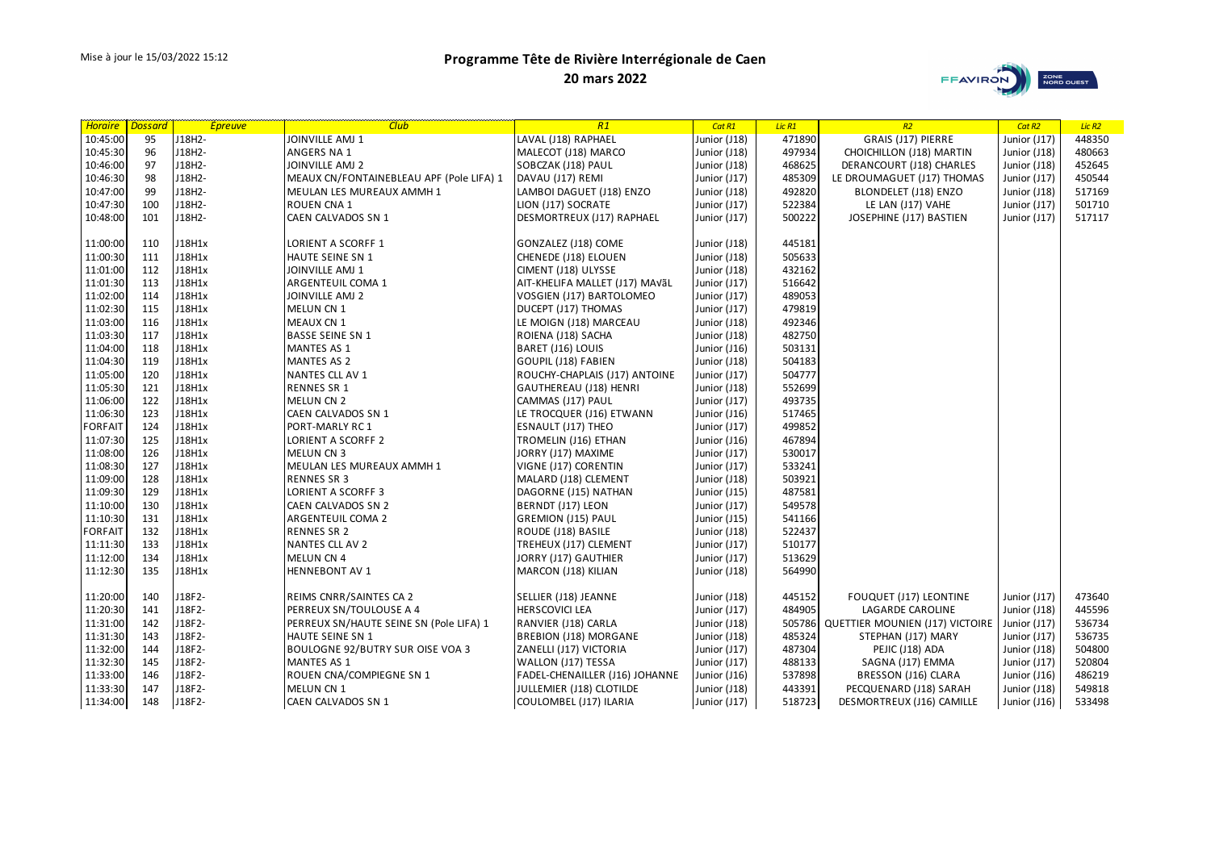



| <b>Horaire</b> Dossard |     | <b>Epreuve</b> | <b>Club</b>                              | R1                             | Cat R1       | Lic R1 | R <sub>2</sub>                         | Cat R <sub>2</sub> | Lic <sub>R2</sub> |
|------------------------|-----|----------------|------------------------------------------|--------------------------------|--------------|--------|----------------------------------------|--------------------|-------------------|
| 10:45:00               | 95  | J18H2-         | JOINVILLE AMJ 1                          | LAVAL (J18) RAPHAEL            | Junior (J18) | 471890 | GRAIS (J17) PIERRE                     | Junior (J17)       | 448350            |
| 10:45:30               | 96  | J18H2-         | ANGERS NA 1                              | MALECOT (J18) MARCO            | Junior (J18) | 497934 | CHOICHILLON (J18) MARTIN               | Junior (J18)       | 480663            |
| 10:46:00               | 97  | J18H2-         | JOINVILLE AMJ 2                          | SOBCZAK (J18) PAUL             | Junior (J18) | 468625 | DERANCOURT (J18) CHARLES               | Junior (J18)       | 452645            |
| 10:46:30               | 98  | J18H2-         | MEAUX CN/FONTAINEBLEAU APF (Pole LIFA) 1 | DAVAU (J17) REMI               | Junior (J17) | 485309 | LE DROUMAGUET (J17) THOMAS             | Junior (J17)       | 450544            |
| 10:47:00               | 99  | J18H2-         | MEULAN LES MUREAUX AMMH 1                | LAMBOI DAGUET (J18) ENZO       | Junior (J18) | 492820 | BLONDELET (J18) ENZO                   | Junior (J18)       | 517169            |
| 10:47:30               | 100 | J18H2-         | ROUEN CNA 1                              | LION (J17) SOCRATE             | Junior (J17) | 522384 | LE LAN (J17) VAHE                      | Junior (J17)       | 501710            |
| 10:48:00               | 101 | J18H2-         | CAEN CALVADOS SN 1                       | DESMORTREUX (J17) RAPHAEL      | Junior (J17) | 500222 | JOSEPHINE (J17) BASTIEN                | Junior (J17)       | 517117            |
|                        |     |                |                                          |                                |              |        |                                        |                    |                   |
| 11:00:00               | 110 | J18H1x         | LORIENT A SCORFF 1                       | GONZALEZ (J18) COME            | Junior (J18) | 445181 |                                        |                    |                   |
| 11:00:30               | 111 | J18H1x         | HAUTE SEINE SN 1                         | CHENEDE (J18) ELOUEN           | Junior (J18) | 505633 |                                        |                    |                   |
| 11:01:00               | 112 | J18H1x         | JOINVILLE AMJ 1                          | CIMENT (J18) ULYSSE            | Junior (J18) | 432162 |                                        |                    |                   |
| 11:01:30               | 113 | J18H1x         | ARGENTEUIL COMA 1                        | AIT-KHELIFA MALLET (J17) MAVÃL | Junior (J17) | 516642 |                                        |                    |                   |
| 11:02:00               | 114 | J18H1x         | JOINVILLE AMJ 2                          | VOSGIEN (J17) BARTOLOMEO       | Junior (J17) | 489053 |                                        |                    |                   |
| 11:02:30               | 115 | J18H1x         | MELUN CN 1                               | DUCEPT (J17) THOMAS            | Junior (J17) | 479819 |                                        |                    |                   |
| 11:03:00               | 116 | J18H1x         | <b>MEAUX CN 1</b>                        | LE MOIGN (J18) MARCEAU         | Junior (J18) | 492346 |                                        |                    |                   |
| 11:03:30               | 117 | J18H1x         | <b>BASSE SEINE SN 1</b>                  | ROIENA (J18) SACHA             | Junior (J18) | 482750 |                                        |                    |                   |
| 11:04:00               | 118 | J18H1x         | MANTES AS 1                              | BARET (J16) LOUIS              | Junior (J16) | 503131 |                                        |                    |                   |
| 11:04:30               | 119 | J18H1x         | <b>MANTES AS 2</b>                       | GOUPIL (J18) FABIEN            | Junior (J18) | 504183 |                                        |                    |                   |
| 11:05:00               | 120 | J18H1x         | NANTES CLL AV 1                          | ROUCHY-CHAPLAIS (J17) ANTOINE  | Junior (J17) | 504777 |                                        |                    |                   |
| 11:05:30               | 121 | J18H1x         | <b>RENNES SR 1</b>                       | GAUTHEREAU (J18) HENRI         | Junior (J18) | 552699 |                                        |                    |                   |
| 11:06:00               | 122 | J18H1x         | MELUN CN 2                               | CAMMAS (J17) PAUL              | Junior (J17) | 493735 |                                        |                    |                   |
| 11:06:30               | 123 | J18H1x         | CAEN CALVADOS SN 1                       | LE TROCQUER (J16) ETWANN       | Junior (J16) | 517465 |                                        |                    |                   |
| <b>FORFAIT</b>         | 124 | J18H1x         | PORT-MARLY RC 1                          | ESNAULT (J17) THEO             | Junior (J17) | 499852 |                                        |                    |                   |
| 11:07:30               | 125 | J18H1x         | LORIENT A SCORFF 2                       | TROMELIN (J16) ETHAN           | Junior (J16) | 467894 |                                        |                    |                   |
| 11:08:00               | 126 | J18H1x         | MELUN CN 3                               | JORRY (J17) MAXIME             | Junior (J17) | 530017 |                                        |                    |                   |
| 11:08:30               | 127 | J18H1x         | MEULAN LES MUREAUX AMMH 1                | VIGNE (J17) CORENTIN           | Junior (J17) | 533241 |                                        |                    |                   |
| 11:09:00               | 128 | J18H1x         | <b>RENNES SR 3</b>                       | MALARD (J18) CLEMENT           | Junior (J18) | 503921 |                                        |                    |                   |
| 11:09:30               | 129 | J18H1x         | LORIENT A SCORFF 3                       | DAGORNE (J15) NATHAN           | Junior (J15) | 487581 |                                        |                    |                   |
| 11:10:00               | 130 | J18H1x         | CAEN CALVADOS SN 2                       | BERNDT (J17) LEON              | Junior (J17) | 549578 |                                        |                    |                   |
| 11:10:30               | 131 | J18H1x         | ARGENTEUIL COMA 2                        | <b>GREMION (J15) PAUL</b>      | Junior (J15) | 541166 |                                        |                    |                   |
| <b>FORFAIT</b>         | 132 | J18H1x         | <b>RENNES SR 2</b>                       | ROUDE (J18) BASILE             | Junior (J18) | 522437 |                                        |                    |                   |
| 11:11:30               | 133 | J18H1x         | NANTES CLL AV 2                          | TREHEUX (J17) CLEMENT          | Junior (J17) | 510177 |                                        |                    |                   |
| 11:12:00               | 134 | J18H1x         | MELUN CN 4                               | JORRY (J17) GAUTHIER           | Junior (J17) | 513629 |                                        |                    |                   |
| 11:12:30               | 135 | J18H1x         | <b>HENNEBONT AV 1</b>                    | MARCON (J18) KILIAN            | Junior (J18) | 564990 |                                        |                    |                   |
|                        |     |                |                                          |                                |              |        |                                        |                    |                   |
| 11:20:00               | 140 | J18F2-         | REIMS CNRR/SAINTES CA 2                  | SELLIER (J18) JEANNE           | Junior (J18) | 445152 | FOUQUET (J17) LEONTINE                 | Junior (J17)       | 473640            |
| 11:20:30               | 141 | J18F2-         | PERREUX SN/TOULOUSE A 4                  | <b>HERSCOVICI LEA</b>          | Junior (J17) | 484905 | LAGARDE CAROLINE                       | Junior (J18)       | 445596            |
| 11:31:00               | 142 | J18F2-         | PERREUX SN/HAUTE SEINE SN (Pole LIFA) 1  | RANVIER (J18) CARLA            | Junior (J18) |        | 505786 QUETTIER MOUNIEN (J17) VICTOIRE | Junior (J17)       | 536734            |
| 11:31:30               | 143 | J18F2-         | HAUTE SEINE SN 1                         | BREBION (J18) MORGANE          | Junior (J18) | 485324 | STEPHAN (J17) MARY                     | Junior (J17)       | 536735            |
| 11:32:00               | 144 | J18F2-         | BOULOGNE 92/BUTRY SUR OISE VOA 3         | ZANELLI (J17) VICTORIA         | Junior (J17) | 487304 | PEJIC (J18) ADA                        | Junior (J18)       | 504800            |
| 11:32:30               | 145 | J18F2-         | MANTES AS 1                              | WALLON (J17) TESSA             | Junior (J17) | 488133 | SAGNA (J17) EMMA                       | Junior (J17)       | 520804            |
| 11:33:00               | 146 | J18F2-         | ROUEN CNA/COMPIEGNE SN 1                 | FADEL-CHENAILLER (J16) JOHANNE | Junior (J16) | 537898 | BRESSON (J16) CLARA                    | Junior (J16)       | 486219            |
| 11:33:30               | 147 | J18F2-         | MELUN CN 1                               | JULLEMIER (J18) CLOTILDE       | Junior (J18) | 443391 | PECQUENARD (J18) SARAH                 | Junior (J18)       | 549818            |
| 11:34:00               | 148 | J18F2-         | CAEN CALVADOS SN 1                       | COULOMBEL (J17) ILARIA         | Junior (J17) | 518723 | DESMORTREUX (J16) CAMILLE              | Junior (J16)       | 533498            |